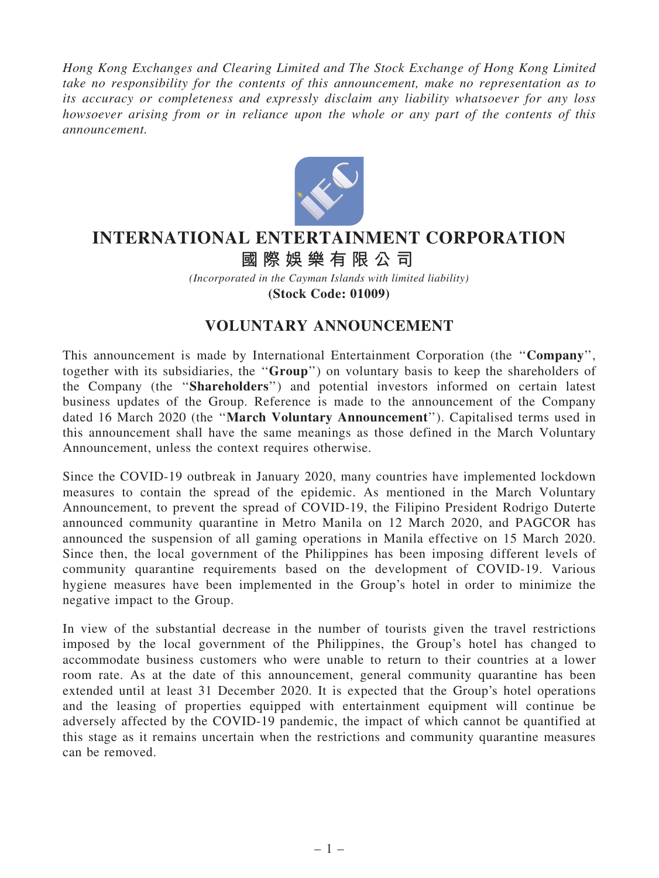Hong Kong Exchanges and Clearing Limited and The Stock Exchange of Hong Kong Limited take no responsibility for the contents of this announcement, make no representation as to its accuracy or completeness and expressly disclaim any liability whatsoever for any loss howsoever arising from or in reliance upon the whole or any part of the contents of this announcement.



## **INTERNATIONAL ENTERTAINMENT CORPORATION**

## **國際娛樂有限公司**

*(Incorporated in the Cayman Islands with limited liability)* **(Stock Code: 01009)**

## VOLUNTARY ANNOUNCEMENT

This announcement is made by International Entertainment Corporation (the "Company", together with its subsidiaries, the ''Group'') on voluntary basis to keep the shareholders of the Company (the ''Shareholders'') and potential investors informed on certain latest business updates of the Group. Reference is made to the announcement of the Company dated 16 March 2020 (the ''March Voluntary Announcement''). Capitalised terms used in this announcement shall have the same meanings as those defined in the March Voluntary Announcement, unless the context requires otherwise.

Since the COVID-19 outbreak in January 2020, many countries have implemented lockdown measures to contain the spread of the epidemic. As mentioned in the March Voluntary Announcement, to prevent the spread of COVID-19, the Filipino President Rodrigo Duterte announced community quarantine in Metro Manila on 12 March 2020, and PAGCOR has announced the suspension of all gaming operations in Manila effective on 15 March 2020. Since then, the local government of the Philippines has been imposing different levels of community quarantine requirements based on the development of COVID-19. Various hygiene measures have been implemented in the Group's hotel in order to minimize the negative impact to the Group.

In view of the substantial decrease in the number of tourists given the travel restrictions imposed by the local government of the Philippines, the Group's hotel has changed to accommodate business customers who were unable to return to their countries at a lower room rate. As at the date of this announcement, general community quarantine has been extended until at least 31 December 2020. It is expected that the Group's hotel operations and the leasing of properties equipped with entertainment equipment will continue be adversely affected by the COVID-19 pandemic, the impact of which cannot be quantified at this stage as it remains uncertain when the restrictions and community quarantine measures can be removed.